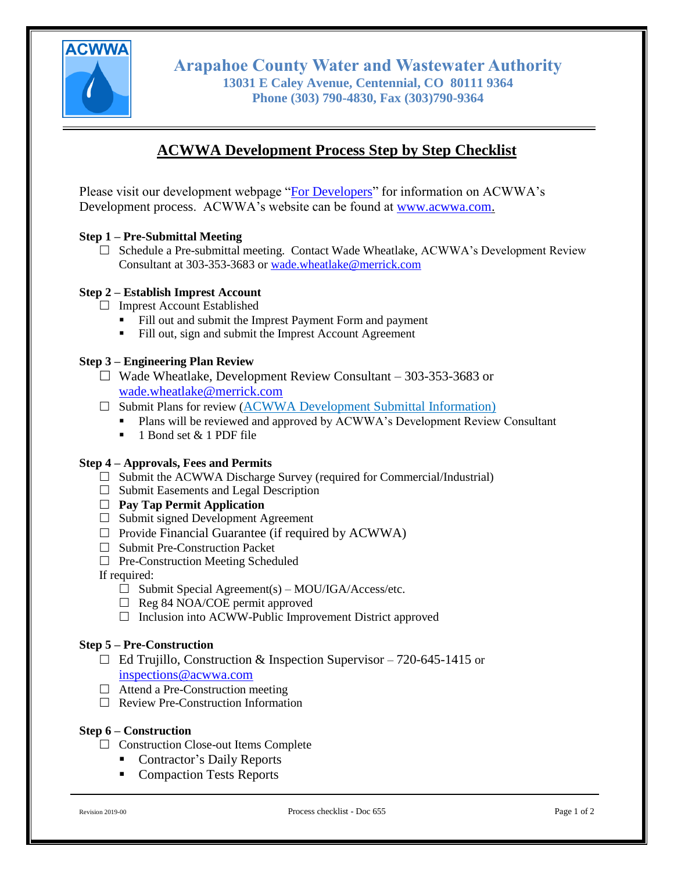

**Arapahoe County Water and Wastewater Authority 13031 E Caley Avenue, Centennial, CO 80111 9364 Phone (303) 790-4830, Fax (303)790-9364**

# **ACWWA Development Process Step by Step Checklist**

Please visit our development webpage ["For Developers"](http://acwwa.com/35/Development) for information on ACWWA's Development process. ACWWA's website can be found at [www.acwwa.com.](file://///fp02/Departments/Construction%20&%20Development/00%20-%20DEVELOPMENT%20PROCESS%20and%20HANDBOOK/10.10%20-%20Development%20Website%20&%20Handbook/FILES/General%20Information/www.acwwa.com)

## **Step 1 – Pre-Submittal Meeting**

 $\Box$  Schedule a Pre-submittal meeting. Contact Wade Wheatlake, ACWWA's Development Review Consultant at 303-353-3683 or [wade.wheatlake@merrick.com](mailto:wade.wheatlake@merrick.com)

## **Step 2 – Establish Imprest Account**

 $\Box$  Imprest Account Established

- Fill out and submit the Imprest Payment Form and payment
- Fill out, sign and submit the Imprest Account Agreement

#### **Step 3 – Engineering Plan Review**

- $\Box$  Wade Wheatlake, Development Review Consultant 303-353-3683 or [wade.wheatlake@merrick.com](mailto:wade.wheatlake@merrick.com)
- $\Box$  Submit Plans for review ([ACWWA Development Submittal Information\)](https://co-arapahoecountywwa.civicplus.com/DocumentCenter/View/667)
	- Plans will be reviewed and approved by ACWWA's Development Review Consultant
	- $\blacksquare$  1 Bond set & 1 PDF file

#### **Step 4 – Approvals, Fees and Permits**

- $\Box$  Submit the ACWWA Discharge Survey (required for Commercial/Industrial)
- $\Box$  Submit Easements and Legal Description
- **Pay Tap Permit Application**
- $\Box$  Submit signed Development Agreement
- $\Box$  Provide Financial Guarantee (if required by ACWWA)
- □ Submit Pre-Construction Packet
- $\Box$  Pre-Construction Meeting Scheduled
- If required:
	- $\Box$  Submit Special Agreement(s) MOU/IGA/Access/etc.
	- $\Box$  Reg 84 NOA/COE permit approved
	- $\Box$  Inclusion into ACWW-Public Improvement District approved

### **Step 5 – Pre-Construction**

- $\Box$  Ed Trujillo, Construction & Inspection Supervisor 720-645-1415 or [inspections@acwwa.com](mailto:inspections@acwwa.com)
- $\Box$  Attend a Pre-Construction meeting
- Review Pre-Construction Information

#### **Step 6 – Construction**

- $\Box$  Construction Close-out Items Complete
	- Contractor's Daily Reports
	- Compaction Tests Reports